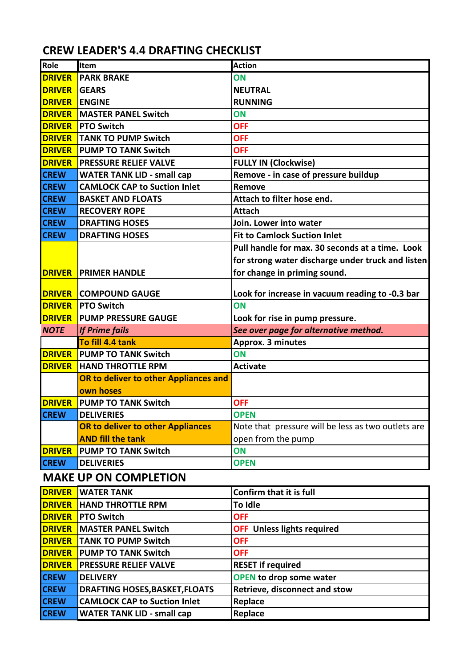## **CREW LEADER'S 4.4 DRAFTING CHECKLIST**

| Role                         | Item                                  | <b>Action</b>                                      |
|------------------------------|---------------------------------------|----------------------------------------------------|
| <b>DRIVER</b>                | <b>PARK BRAKE</b>                     | ON                                                 |
| <b>DRIVER</b>                | <b>GEARS</b>                          | <b>NEUTRAL</b>                                     |
| <b>DRIVER</b>                | <b>ENGINE</b>                         | <b>RUNNING</b>                                     |
| <b>DRIVER</b>                | <b>MASTER PANEL Switch</b>            | ON                                                 |
| <b>DRIVER</b>                | <b>PTO Switch</b>                     | <b>OFF</b>                                         |
| <b>DRIVER</b>                | <b>TANK TO PUMP Switch</b>            | <b>OFF</b>                                         |
| <b>DRIVER</b>                | <b>PUMP TO TANK Switch</b>            | <b>OFF</b>                                         |
| <b>DRIVER</b>                | <b>PRESSURE RELIEF VALVE</b>          | <b>FULLY IN (Clockwise)</b>                        |
| <b>CREW</b>                  | <b>WATER TANK LID - small cap</b>     | Remove - in case of pressure buildup               |
| <b>CREW</b>                  | <b>CAMLOCK CAP to Suction Inlet</b>   | Remove                                             |
| <b>CREW</b>                  | <b>BASKET AND FLOATS</b>              | Attach to filter hose end.                         |
| <b>CREW</b>                  | <b>RECOVERY ROPE</b>                  | <b>Attach</b>                                      |
| <b>CREW</b>                  | <b>DRAFTING HOSES</b>                 | Join. Lower into water                             |
| <b>CREW</b>                  | <b>DRAFTING HOSES</b>                 | <b>Fit to Camlock Suction Inlet</b>                |
|                              |                                       | Pull handle for max. 30 seconds at a time. Look    |
|                              |                                       | for strong water discharge under truck and listen  |
| <b>DRIVER</b>                | <b>PRIMER HANDLE</b>                  | for change in priming sound.                       |
|                              |                                       |                                                    |
| <b>DRIVER</b>                | <b>COMPOUND GAUGE</b>                 | Look for increase in vacuum reading to -0.3 bar    |
| <b>DRIVER</b>                | <b>PTO Switch</b>                     | ON                                                 |
| <b>DRIVER</b>                | <b>PUMP PRESSURE GAUGE</b>            | Look for rise in pump pressure.                    |
| <b>NOTE</b>                  | <b>If Prime fails</b>                 | See over page for alternative method.              |
|                              | To fill 4.4 tank                      | Approx. 3 minutes                                  |
| <b>DRIVER</b>                | <b>PUMP TO TANK Switch</b>            | ON                                                 |
| <b>DRIVER</b>                | <b>HAND THROTTLE RPM</b>              | <b>Activate</b>                                    |
|                              | OR to deliver to other Appliances and |                                                    |
|                              | own hoses                             |                                                    |
| <b>DRIVER</b>                | <b>PUMP TO TANK Switch</b>            | <b>OFF</b>                                         |
| <b>CREW</b>                  | <b>DELIVERIES</b>                     | <b>OPEN</b>                                        |
|                              | OR to deliver to other Appliances     | Note that pressure will be less as two outlets are |
|                              | <b>AND fill the tank</b>              | open from the pump                                 |
| <b>DRIVER</b>                | <b>PUMP TO TANK Switch</b>            | ON                                                 |
| <b>CREW</b>                  | <b>DELIVERIES</b>                     | <b>OPEN</b>                                        |
| <b>MAKE UP ON COMPLETION</b> |                                       |                                                    |
| <b>DRIVER</b>                | <b>WATER TANK</b>                     | <b>Confirm that it is full</b>                     |
| <b>DRIVER</b>                | <b>HAND THROTTLE RPM</b>              | To Idle                                            |
| <b>DRIVER</b>                | <b>PTO Switch</b>                     | <b>OFF</b>                                         |
| <b>DRIVER</b>                | <b>MASTER PANEL Switch</b>            | <b>OFF</b> Unless lights required                  |
| <b>DRIVER</b>                | <b>TANK TO PUMP Switch</b>            | <b>OFF</b>                                         |
| <b>DRIVER</b>                | <b>PUMP TO TANK Switch</b>            | <b>OFF</b>                                         |
| <b>DRIVER</b>                | <b>PRESSURE RELIEF VALVE</b>          | <b>RESET if required</b>                           |
| <b>CREW</b>                  | <b>DELIVERY</b>                       | <b>OPEN to drop some water</b>                     |
| <b>CREW</b>                  | <b>DRAFTING HOSES, BASKET, FLOATS</b> | Retrieve, disconnect and stow                      |
| <b>CREW</b>                  | <b>CAMLOCK CAP to Suction Inlet</b>   | Replace                                            |
| <b>CREW</b>                  | <b>WATER TANK LID - small cap</b>     | Replace                                            |